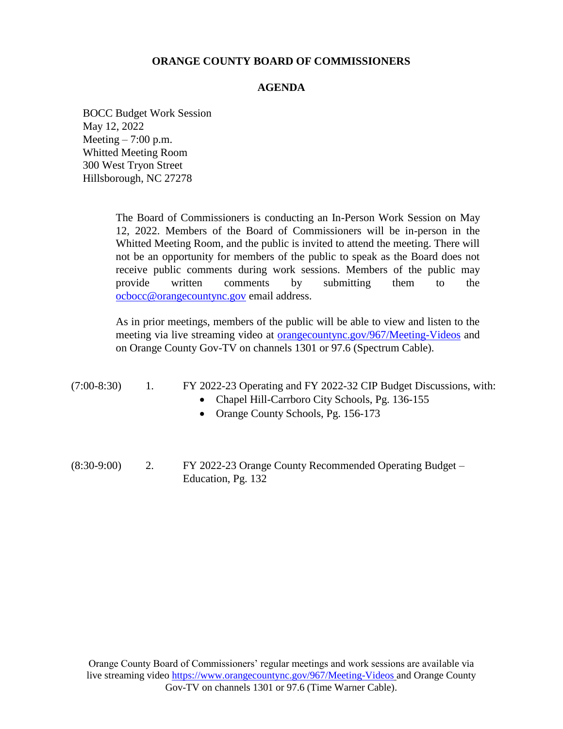#### **ORANGE COUNTY BOARD OF COMMISSIONERS**

#### **AGENDA**

BOCC Budget Work Session May 12, 2022 Meeting  $-7:00$  p.m. Whitted Meeting Room 300 West Tryon Street Hillsborough, NC 27278

> The Board of Commissioners is conducting an In-Person Work Session on May 12, 2022. Members of the Board of Commissioners will be in-person in the Whitted Meeting Room, and the public is invited to attend the meeting. There will not be an opportunity for members of the public to speak as the Board does not receive public comments during work sessions. Members of the public may provide written comments by submitting them to the [ocbocc@orangecountync.gov](file:///C:/Users/gwilder/AppData/Local/Microsoft/Windows/INetCache/Content.Outlook/8SILXM6F/ocbocc@orangecountync.gov) email address.

> As in prior meetings, members of the public will be able to view and listen to the meeting via live streaming video at [orangecountync.gov/967/Meeting-Videos](file:///C:/Users/gwilder/AppData/Local/Microsoft/Windows/INetCache/Content.Outlook/8SILXM6F/orangecountync.gov/967/Meeting-Videos) and on Orange County Gov-TV on channels 1301 or 97.6 (Spectrum Cable).

| $(7:00-8:30)$ | FY 2022-23 Operating and FY 2022-32 CIP Budget Discussions, with: |  |  |  |
|---------------|-------------------------------------------------------------------|--|--|--|
|               |                                                                   |  |  |  |

- Chapel Hill-Carrboro City Schools, Pg. 136-155
- Orange County Schools, Pg. 156-173
- (8:30-9:00) 2. FY 2022-23 Orange County Recommended Operating Budget Education, Pg. 132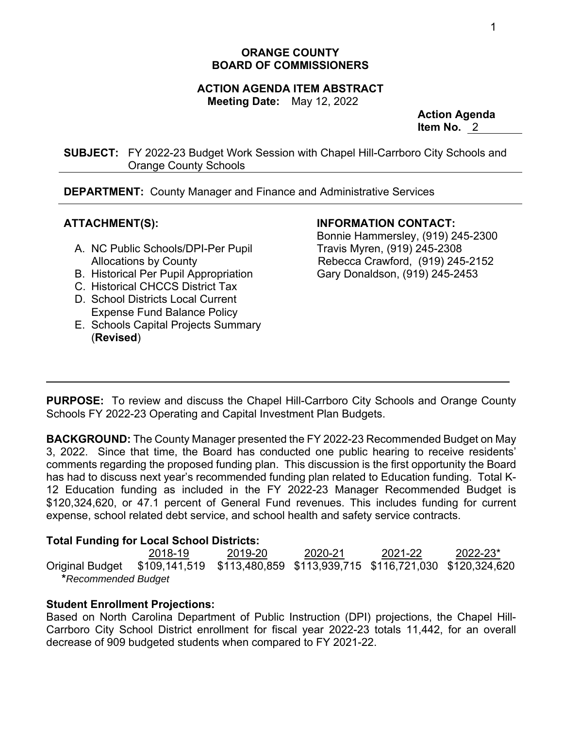# **ORANGE COUNTY BOARD OF COMMISSIONERS**

# **ACTION AGENDA ITEM ABSTRACT**

**Meeting Date:** May 12, 2022

**Action Agenda Item No.** 2

**SUBJECT:** FY 2022-23 Budget Work Session with Chapel Hill-Carrboro City Schools and Orange County Schools

**DEPARTMENT:** County Manager and Finance and Administrative Services

# **ATTACHMENT(S):**

- A. NC Public Schools/DPI-Per Pupil Allocations by County
- B. Historical Per Pupil Appropriation
- C. Historical CHCCS District Tax
- D. School Districts Local Current Expense Fund Balance Policy
- E. Schools Capital Projects Summary (**Revised**)

# **INFORMATION CONTACT:**

Bonnie Hammersley, (919) 245-2300 Travis Myren, (919) 245-2308 Rebecca Crawford, (919) 245-2152 Gary Donaldson, (919) 245-2453

**PURPOSE:** To review and discuss the Chapel Hill-Carrboro City Schools and Orange County Schools FY 2022-23 Operating and Capital Investment Plan Budgets.

**BACKGROUND:** The County Manager presented the FY 2022-23 Recommended Budget on May 3, 2022. Since that time, the Board has conducted one public hearing to receive residents' comments regarding the proposed funding plan. This discussion is the first opportunity the Board has had to discuss next year's recommended funding plan related to Education funding. Total K-12 Education funding as included in the FY 2022-23 Manager Recommended Budget is \$120,324,620, or 47.1 percent of General Fund revenues. This includes funding for current expense, school related debt service, and school health and safety service contracts.

# **Total Funding for Local School Districts:**

 2018-19 2019-20 2020-21 2021-22 2022-23\* Original Budget \$109,141,519 \$113,480,859 \$113,939,715 \$116,721,030 \$120,324,620  **\****Recommended Budget* 

# **Student Enrollment Projections:**

Based on North Carolina Department of Public Instruction (DPI) projections, the Chapel Hill-Carrboro City School District enrollment for fiscal year 2022-23 totals 11,442, for an overall decrease of 909 budgeted students when compared to FY 2021-22.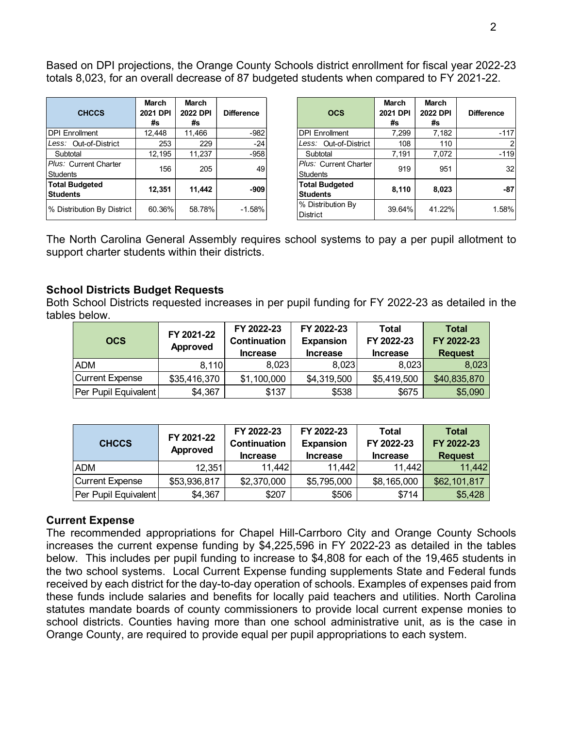Based on DPI projections, the Orange County Schools district enrollment for fiscal year 2022-23 totals 8,023, for an overall decrease of 87 budgeted students when compared to FY 2021-22.

| <b>CHCCS</b>                             | March<br>2021 DPI<br>#s | March<br>2022 DPI<br>#s | <b>Difference</b> | <b>OCS</b>                                      | March<br>2021 DPI<br>#s | March<br>2022 DPI<br>#s | <b>Difference</b> |
|------------------------------------------|-------------------------|-------------------------|-------------------|-------------------------------------------------|-------------------------|-------------------------|-------------------|
| <b>IDPI Enrollment</b>                   | 12.448                  | 11.466                  | $-982$            | <b>DPI Enrollment</b>                           | 7.299                   | 7,182                   | $-117$            |
| Less: Out-of-District                    | 253                     | 229                     | $-24$             | Less: Out-of-District                           | 108                     | 110                     | $\overline{c}$    |
| Subtotal                                 | 12.195                  | 11,237                  | $-958$            | Subtotal                                        | 7.191                   | 7,072                   | $-119$            |
| Plus: Current Charter<br>Students        | 156                     | 205                     | 49                | <i>Plus:</i> Current Charter<br><b>Students</b> | 919                     | 951                     | 32                |
| <b>Total Budgeted</b><br><b>Students</b> | 12,351                  | 11.442                  | $-909$            | <b>Total Budgeted</b><br>Students               | 8,110                   | 8,023                   | $-87$             |
| % Distribution By District               | 60.36%                  | 58.78%                  | $-1.58%$          | % Distribution By<br><b>District</b>            | 39.64%                  | 41.22%                  | 1.58%             |

| <b>CHCCS</b>                    | <b>March</b><br>2021 DPI<br>#s | <b>March</b><br>2022 DPI<br>#s | <b>Difference</b> | <b>OCS</b>                               | <b>March</b><br>2021 DPI<br>#s | <b>March</b><br>2022 DPI<br>#s | <b>Difference</b> |
|---------------------------------|--------------------------------|--------------------------------|-------------------|------------------------------------------|--------------------------------|--------------------------------|-------------------|
| PI Enrollment                   | 12.448                         | 11.466                         | $-982$            | <b>DPI Enrollment</b>                    | 7.299                          | 7,182                          | $-117$            |
| ess: Out-of-District            | 253                            | 229                            | $-24$             | Less: Out-of-District                    | 108                            | 110                            |                   |
| Subtotal                        | 12.195                         | 11,237                         | $-958$            | Subtotal                                 | 7.191                          | 7,072                          | $-119$            |
| us: Current Charter<br>udents   | 156                            | 205                            | 49                | Plus: Current Charter<br><b>Students</b> | 919                            | 951                            | 32                |
| <b>otal Budgeted</b><br>udents: | 12.351                         | 11.442                         | $-909$            | <b>Total Budgeted</b><br><b>Students</b> | 8,110                          | 8,023                          | $-87$             |
| Distribution By District        | 60.36%                         | 58.78%                         | $-1.58%$          | % Distribution By<br><b>District</b>     | 39.64%                         | 41.22%                         | 1.58%             |

The North Carolina General Assembly requires school systems to pay a per pupil allotment to support charter students within their districts.

## **School Districts Budget Requests**

Both School Districts requested increases in per pupil funding for FY 2022-23 as detailed in the tables below.

| <b>OCS</b>           | FY 2021-22<br>Approved | FY 2022-23<br>FY 2022-23<br>Continuation<br><b>Expansion</b><br><b>Increase</b><br><b>Increase</b> |             | <b>Total</b><br>FY 2022-23<br><b>Increase</b> | <b>Total</b><br>FY 2022-23<br><b>Request</b> |
|----------------------|------------------------|----------------------------------------------------------------------------------------------------|-------------|-----------------------------------------------|----------------------------------------------|
| <b>ADM</b>           | 8,110                  | 8,023                                                                                              | 8,023       | 8,023                                         | 8,023                                        |
| Current Expense      | \$35,416,370           | \$1,100,000                                                                                        | \$4,319,500 | \$5,419,500                                   | \$40,835,870                                 |
| Per Pupil Equivalent | \$4,367                | \$137                                                                                              | \$538       | \$675                                         | \$5,090                                      |

| <b>CHCCS</b>         | FY 2021-22<br>Approved | FY 2022-23<br>Continuation<br><b>Increase</b> | FY 2022-23<br><b>Expansion</b><br><b>Increase</b> | Total<br>FY 2022-23<br><b>Increase</b> | <b>Total</b><br>FY 2022-23<br><b>Request</b> |
|----------------------|------------------------|-----------------------------------------------|---------------------------------------------------|----------------------------------------|----------------------------------------------|
| <b>ADM</b>           | 12,351                 | 11,442                                        | 11,442                                            | 11,442                                 | 11,442                                       |
| Current Expense      | \$53,936,817           | \$2,370,000                                   | \$5,795,000                                       | \$8,165,000                            | \$62,101,817                                 |
| Per Pupil Equivalent | \$4,367                | \$207                                         | \$506                                             | \$714                                  | \$5,428                                      |

#### **Current Expense**

The recommended appropriations for Chapel Hill-Carrboro City and Orange County Schools increases the current expense funding by \$4,225,596 in FY 2022-23 as detailed in the tables below. This includes per pupil funding to increase to \$4,808 for each of the 19,465 students in the two school systems. Local Current Expense funding supplements State and Federal funds received by each district for the day-to-day operation of schools. Examples of expenses paid from these funds include salaries and benefits for locally paid teachers and utilities. North Carolina statutes mandate boards of county commissioners to provide local current expense monies to school districts. Counties having more than one school administrative unit, as is the case in Orange County, are required to provide equal per pupil appropriations to each system.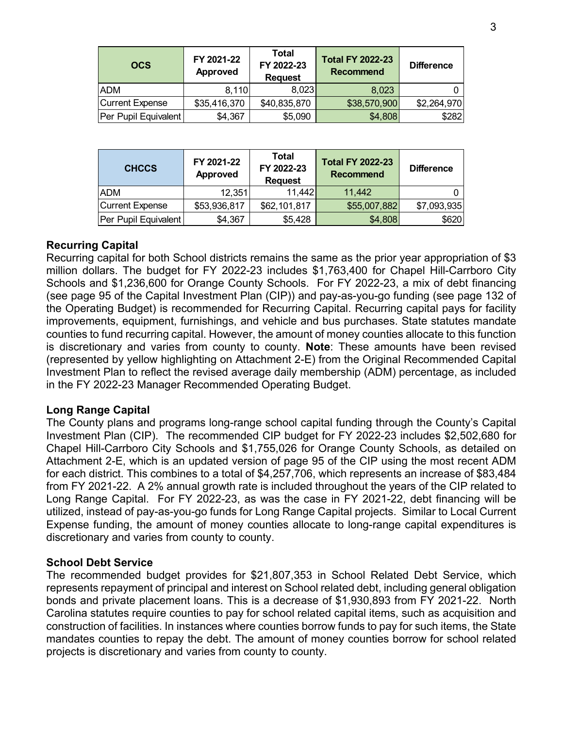| <b>OCS</b>             | FY 2021-22<br>Approved | Total<br>FY 2022-23<br><b>Request</b> | <b>Total FY 2022-23</b><br><b>Recommend</b> | <b>Difference</b> |
|------------------------|------------------------|---------------------------------------|---------------------------------------------|-------------------|
| <b>ADM</b>             | 8,110                  | 8,023                                 | 8,023                                       |                   |
| <b>Current Expense</b> | \$35,416,370           | \$40,835,870                          | \$38,570,900                                | \$2,264,970       |
| Per Pupil Equivalent   | \$4,367                | \$5,090                               | \$4,808                                     | \$282             |

| <b>CHCCS</b>           | FY 2021-22<br>Approved | <b>Total</b><br>FY 2022-23<br><b>Request</b> | <b>Total FY 2022-23</b><br><b>Recommend</b> | <b>Difference</b> |
|------------------------|------------------------|----------------------------------------------|---------------------------------------------|-------------------|
| <b>ADM</b>             | 12,351                 | 11,442                                       | 11,442                                      |                   |
| <b>Current Expense</b> | \$53,936,817           | \$62,101,817                                 | \$55,007,882                                | \$7,093,935       |
| Per Pupil Equivalent   | \$4,367                | \$5,428                                      | \$4,808                                     | \$620             |

### **Recurring Capital**

Recurring capital for both School districts remains the same as the prior year appropriation of \$3 million dollars. The budget for FY 2022-23 includes \$1,763,400 for Chapel Hill-Carrboro City Schools and \$1,236,600 for Orange County Schools. For FY 2022-23, a mix of debt financing (see page 95 of the Capital Investment Plan (CIP)) and pay-as-you-go funding (see page 132 of the Operating Budget) is recommended for Recurring Capital. Recurring capital pays for facility improvements, equipment, furnishings, and vehicle and bus purchases. State statutes mandate counties to fund recurring capital. However, the amount of money counties allocate to this function is discretionary and varies from county to county. **Note**: These amounts have been revised (represented by yellow highlighting on Attachment 2-E) from the Original Recommended Capital Investment Plan to reflect the revised average daily membership (ADM) percentage, as included in the FY 2022-23 Manager Recommended Operating Budget.

#### **Long Range Capital**

The County plans and programs long-range school capital funding through the County's Capital Investment Plan (CIP). The recommended CIP budget for FY 2022-23 includes \$2,502,680 for Chapel Hill-Carrboro City Schools and \$1,755,026 for Orange County Schools, as detailed on Attachment 2-E, which is an updated version of page 95 of the CIP using the most recent ADM for each district. This combines to a total of \$4,257,706, which represents an increase of \$83,484 from FY 2021-22. A 2% annual growth rate is included throughout the years of the CIP related to Long Range Capital. For FY 2022-23, as was the case in FY 2021-22, debt financing will be utilized, instead of pay-as-you-go funds for Long Range Capital projects. Similar to Local Current Expense funding, the amount of money counties allocate to long-range capital expenditures is discretionary and varies from county to county.

#### **School Debt Service**

The recommended budget provides for \$21,807,353 in School Related Debt Service, which represents repayment of principal and interest on School related debt, including general obligation bonds and private placement loans. This is a decrease of \$1,930,893 from FY 2021-22. North Carolina statutes require counties to pay for school related capital items, such as acquisition and construction of facilities. In instances where counties borrow funds to pay for such items, the State mandates counties to repay the debt. The amount of money counties borrow for school related projects is discretionary and varies from county to county.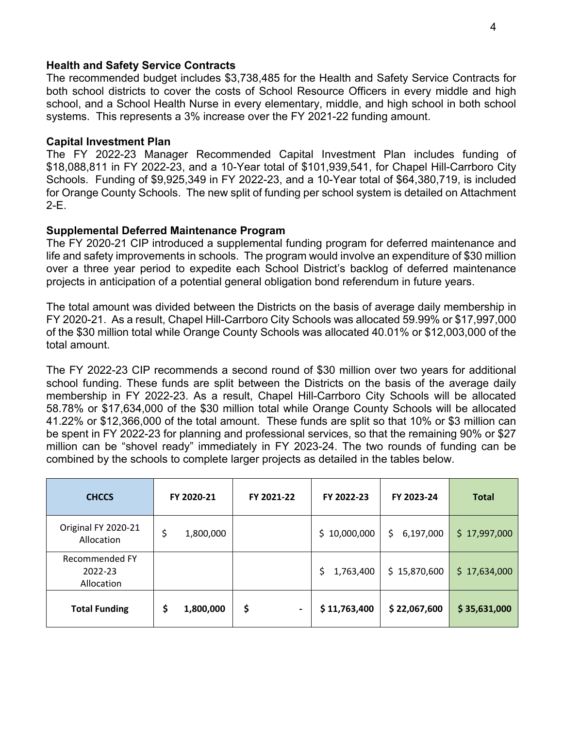### **Health and Safety Service Contracts**

The recommended budget includes \$3,738,485 for the Health and Safety Service Contracts for both school districts to cover the costs of School Resource Officers in every middle and high school, and a School Health Nurse in every elementary, middle, and high school in both school systems. This represents a 3% increase over the FY 2021-22 funding amount.

### **Capital Investment Plan**

The FY 2022-23 Manager Recommended Capital Investment Plan includes funding of \$18,088,811 in FY 2022-23, and a 10-Year total of \$101,939,541, for Chapel Hill-Carrboro City Schools. Funding of \$9,925,349 in FY 2022-23, and a 10-Year total of \$64,380,719, is included for Orange County Schools. The new split of funding per school system is detailed on Attachment  $2-E$ .

## **Supplemental Deferred Maintenance Program**

The FY 2020-21 CIP introduced a supplemental funding program for deferred maintenance and life and safety improvements in schools. The program would involve an expenditure of \$30 million over a three year period to expedite each School District's backlog of deferred maintenance projects in anticipation of a potential general obligation bond referendum in future years.

The total amount was divided between the Districts on the basis of average daily membership in FY 2020-21. As a result, Chapel Hill-Carrboro City Schools was allocated 59.99% or \$17,997,000 of the \$30 million total while Orange County Schools was allocated 40.01% or \$12,003,000 of the total amount.

The FY 2022-23 CIP recommends a second round of \$30 million over two years for additional school funding. These funds are split between the Districts on the basis of the average daily membership in FY 2022-23. As a result, Chapel Hill-Carrboro City Schools will be allocated 58.78% or \$17,634,000 of the \$30 million total while Orange County Schools will be allocated 41.22% or \$12,366,000 of the total amount. These funds are split so that 10% or \$3 million can be spent in FY 2022-23 for planning and professional services, so that the remaining 90% or \$27 million can be "shovel ready" immediately in FY 2023-24. The two rounds of funding can be combined by the schools to complete larger projects as detailed in the tables below.

| <b>CHCCS</b>                            | FY 2020-21      | FY 2021-22           | FY 2022-23       | FY 2023-24      | <b>Total</b> |
|-----------------------------------------|-----------------|----------------------|------------------|-----------------|--------------|
| Original FY 2020-21<br>Allocation       | \$<br>1,800,000 |                      | \$10,000,000     | \$<br>6,197,000 | \$17,997,000 |
| Recommended FY<br>2022-23<br>Allocation |                 |                      | 1,763,400<br>\$. | \$15,870,600    | \$17,634,000 |
| <b>Total Funding</b>                    | 1,800,000<br>Ş  | \$<br>$\blacksquare$ | \$11,763,400     | \$22,067,600    | \$35,631,000 |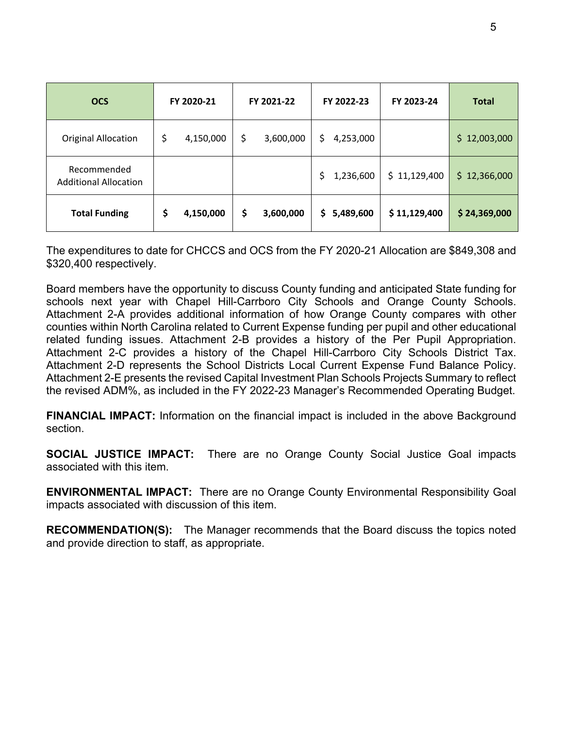| <b>OCS</b>                                  | FY 2020-21      | FY 2021-22      | FY 2022-23      | FY 2023-24   | <b>Total</b>     |
|---------------------------------------------|-----------------|-----------------|-----------------|--------------|------------------|
| <b>Original Allocation</b>                  | \$<br>4,150,000 | \$<br>3,600,000 | \$<br>4,253,000 |              | \$<br>12,003,000 |
| Recommended<br><b>Additional Allocation</b> |                 |                 | \$<br>1,236,600 | \$11,129,400 | \$12,366,000     |
| <b>Total Funding</b>                        | \$<br>4,150,000 | \$<br>3,600,000 | \$5,489,600     | \$11,129,400 | \$24,369,000     |

The expenditures to date for CHCCS and OCS from the FY 2020-21 Allocation are \$849,308 and \$320,400 respectively.

Board members have the opportunity to discuss County funding and anticipated State funding for schools next year with Chapel Hill-Carrboro City Schools and Orange County Schools. Attachment 2-A provides additional information of how Orange County compares with other counties within North Carolina related to Current Expense funding per pupil and other educational related funding issues. Attachment 2-B provides a history of the Per Pupil Appropriation. Attachment 2-C provides a history of the Chapel Hill-Carrboro City Schools District Tax. Attachment 2-D represents the School Districts Local Current Expense Fund Balance Policy. Attachment 2-E presents the revised Capital Investment Plan Schools Projects Summary to reflect the revised ADM%, as included in the FY 2022-23 Manager's Recommended Operating Budget.

**FINANCIAL IMPACT:** Information on the financial impact is included in the above Background section.

**SOCIAL JUSTICE IMPACT:** There are no Orange County Social Justice Goal impacts associated with this item.

**ENVIRONMENTAL IMPACT:** There are no Orange County Environmental Responsibility Goal impacts associated with discussion of this item.

**RECOMMENDATION(S):** The Manager recommends that the Board discuss the topics noted and provide direction to staff, as appropriate.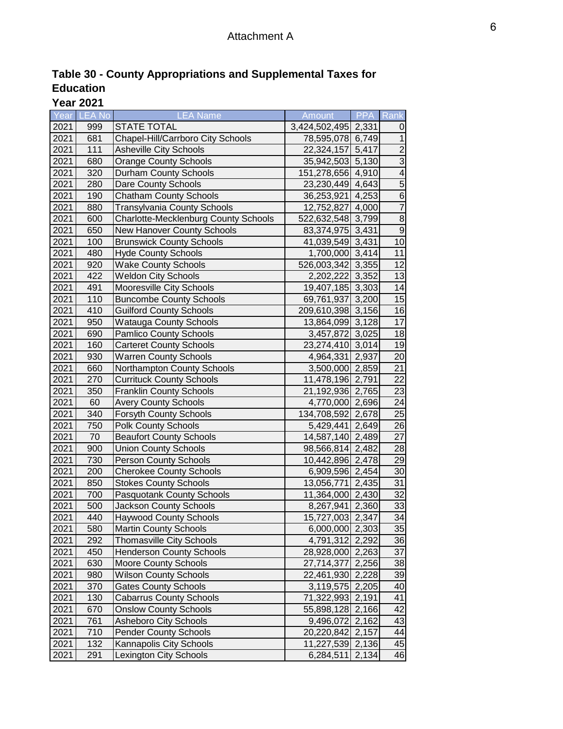| Table 30 - County Appropriations and Supplemental Taxes for |  |  |
|-------------------------------------------------------------|--|--|
| <b>Education</b>                                            |  |  |

**Year 2021**

|      | Year LEA No | <b>LEA Name</b>                             | Amount              | PPA   | Rank             |
|------|-------------|---------------------------------------------|---------------------|-------|------------------|
| 2021 | 999         | <b>STATE TOTAL</b>                          | 3,424,502,495 2,331 |       | 0                |
| 2021 | 681         | Chapel-Hill/Carrboro City Schools           | 78,595,078 6,749    |       | $\mathbf{1}$     |
| 2021 | 111         | Asheville City Schools                      | 22,324,157 5,417    |       | $\overline{2}$   |
| 2021 | 680         | <b>Orange County Schools</b>                | 35,942,503 5,130    |       | $\overline{3}$   |
| 2021 | 320         | Durham County Schools                       | 151,278,656 4,910   |       | $\overline{4}$   |
| 2021 | 280         | Dare County Schools                         | 23,230,449 4,643    |       | $\overline{5}$   |
| 2021 | 190         | <b>Chatham County Schools</b>               | 36,253,921 4,253    |       | $\overline{6}$   |
| 2021 | 880         | <b>Transylvania County Schools</b>          | 12,752,827 4,000    |       | $\overline{7}$   |
| 2021 | 600         | <b>Charlotte-Mecklenburg County Schools</b> | 522,632,548 3,799   |       | $\,8\,$          |
| 2021 | 650         | New Hanover County Schools                  | 83, 374, 975 3, 431 |       | $\boldsymbol{9}$ |
| 2021 | 100         | <b>Brunswick County Schools</b>             | 41,039,549 3,431    |       | 10               |
| 2021 | 480         | <b>Hyde County Schools</b>                  | 1,700,000 3,414     |       | 11               |
| 2021 | 920         | <b>Wake County Schools</b>                  | 526,003,342 3,355   |       | 12               |
| 2021 | 422         | <b>Weldon City Schools</b>                  | 2,202,222 3,352     |       | 13               |
| 2021 | 491         | Mooresville City Schools                    | 19,407,185 3,303    |       | 14               |
| 2021 | 110         | <b>Buncombe County Schools</b>              | 69,761,937 3,200    |       | 15               |
| 2021 | 410         | <b>Guilford County Schools</b>              | 209,610,398 3,156   |       | 16               |
| 2021 | 950         | <b>Watauga County Schools</b>               | 13,864,099 3,128    |       | 17               |
| 2021 | 690         | <b>Pamlico County Schools</b>               | 3,457,872 3,025     |       | 18               |
| 2021 | 160         | <b>Carteret County Schools</b>              | 23,274,410 3,014    |       | 19               |
| 2021 | 930         | <b>Warren County Schools</b>                | 4,964,331 2,937     |       | 20               |
| 2021 | 660         | Northampton County Schools                  | 3,500,000 2,859     |       | 21               |
| 2021 | 270         | <b>Currituck County Schools</b>             | 11,478,196 2,791    |       | 22               |
| 2021 | 350         | <b>Franklin County Schools</b>              | 21,192,936 2,765    |       | 23               |
| 2021 | 60          | <b>Avery County Schools</b>                 | 4,770,000 2,696     |       | 24               |
| 2021 | 340         | <b>Forsyth County Schools</b>               | 134,708,592 2,678   |       | 25               |
| 2021 | 750         | <b>Polk County Schools</b>                  | 5,429,441 2,649     |       | 26               |
| 2021 | 70          | <b>Beaufort County Schools</b>              | 14,587,140 2,489    |       | 27               |
| 2021 | 900         | <b>Union County Schools</b>                 | 98,566,814 2,482    |       | 28               |
| 2021 | 730         | <b>Person County Schools</b>                | 10,442,896 2,478    |       | 29               |
| 2021 | 200         | <b>Cherokee County Schools</b>              | 6,909,596 2,454     |       | 30               |
| 2021 | 850         | <b>Stokes County Schools</b>                | 13,056,771          | 2,435 | 31               |
| 2021 | 700         | Pasquotank County Schools                   | 11,364,000 2,430    |       | 32               |
| 2021 | 500         | <b>Jackson County Schools</b>               | 8,267,941 2,360     |       | 33               |
| 2021 | 440         | <b>Haywood County Schools</b>               | 15,727,003 2,347    |       | $\overline{34}$  |
| 2021 | 580         | <b>Martin County Schools</b>                | 6,000,000 2,303     |       | 35               |
| 2021 | 292         | <b>Thomasville City Schools</b>             | 4,791,312 2,292     |       | 36               |
| 2021 | 450         | <b>Henderson County Schools</b>             | 28,928,000 2,263    |       | 37               |
| 2021 | 630         | <b>Moore County Schools</b>                 | 27,714,377          | 2,256 | 38               |
| 2021 | 980         | <b>Wilson County Schools</b>                | 22,461,930 2,228    |       | 39               |
| 2021 | 370         | <b>Gates County Schools</b>                 | 3,119,575 2,205     |       | 40               |
| 2021 | 130         | <b>Cabarrus County Schools</b>              | 71,322,993 2,191    |       | 41               |
| 2021 | 670         | <b>Onslow County Schools</b>                | 55,898,128 2,166    |       | 42               |
| 2021 | 761         | Asheboro City Schools                       | 9,496,072 2,162     |       | 43               |
| 2021 | 710         | <b>Pender County Schools</b>                | 20,220,842 2,157    |       | 44               |
| 2021 | 132         | Kannapolis City Schools                     | 11,227,539 2,136    |       | 45               |
| 2021 | 291         | <b>Lexington City Schools</b>               | 6,284,511           | 2,134 | 46               |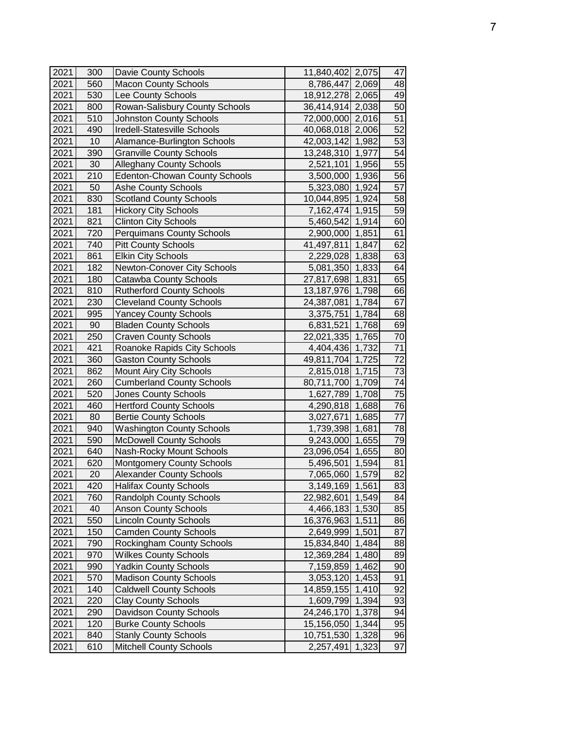| 2021 | 300 | Davie County Schools                 | 11,840,402 2,075    |       | 47 |
|------|-----|--------------------------------------|---------------------|-------|----|
| 2021 | 560 | <b>Macon County Schools</b>          | 8,786,447 2,069     |       | 48 |
| 2021 | 530 | Lee County Schools                   | 18,912,278 2,065    |       | 49 |
| 2021 | 800 | Rowan-Salisbury County Schools       | 36,414,914 2,038    |       | 50 |
| 2021 | 510 | <b>Johnston County Schools</b>       | 72,000,000 2,016    |       | 51 |
| 2021 | 490 | Iredell-Statesville Schools          | 40,068,018 2,006    |       | 52 |
| 2021 | 10  | Alamance-Burlington Schools          | 42,003,142 1,982    |       | 53 |
| 2021 | 390 | <b>Granville County Schools</b>      | 13,248,310 1,977    |       | 54 |
| 2021 | 30  | <b>Alleghany County Schools</b>      | 2,521,101 1,956     |       | 55 |
| 2021 | 210 | <b>Edenton-Chowan County Schools</b> | 3,500,000 1,936     |       | 56 |
| 2021 | 50  | <b>Ashe County Schools</b>           | 5,323,080 1,924     |       | 57 |
| 2021 | 830 | <b>Scotland County Schools</b>       | 10,044,895 1,924    |       | 58 |
| 2021 | 181 | <b>Hickory City Schools</b>          | 7,162,474 1,915     |       | 59 |
| 2021 | 821 | <b>Clinton City Schools</b>          | 5,460,542 1,914     |       | 60 |
| 2021 | 720 | <b>Perquimans County Schools</b>     | 2,900,000 1,851     |       | 61 |
| 2021 | 740 | <b>Pitt County Schools</b>           | 41,497,811          | 1,847 | 62 |
| 2021 | 861 | <b>Elkin City Schools</b>            | 2,229,028           | 1,838 | 63 |
| 2021 | 182 | Newton-Conover City Schools          | 5,081,350 1,833     |       | 64 |
| 2021 | 180 | <b>Catawba County Schools</b>        | 27,817,698 1,831    |       | 65 |
| 2021 | 810 | <b>Rutherford County Schools</b>     | 13, 187, 976 1, 798 |       | 66 |
| 2021 | 230 | <b>Cleveland County Schools</b>      | 24,387,081 1,784    |       | 67 |
| 2021 | 995 | <b>Yancey County Schools</b>         | 3,375,751           | 1,784 | 68 |
| 2021 | 90  | <b>Bladen County Schools</b>         | 6,831,521           | 1,768 | 69 |
| 2021 | 250 | <b>Craven County Schools</b>         | 22,021,335 1,765    |       | 70 |
| 2021 | 421 | Roanoke Rapids City Schools          | 4,404,436 1,732     |       | 71 |
| 2021 | 360 | <b>Gaston County Schools</b>         | 49,811,704 1,725    |       | 72 |
| 2021 | 862 | Mount Airy City Schools              | 2,815,018 1,715     |       | 73 |
| 2021 | 260 | <b>Cumberland County Schools</b>     | 80,711,700 1,709    |       | 74 |
| 2021 | 520 | <b>Jones County Schools</b>          | 1,627,789 1,708     |       | 75 |
| 2021 | 460 | <b>Hertford County Schools</b>       | 4,290,818 1,688     |       | 76 |
| 2021 | 80  | <b>Bertie County Schools</b>         | 3,027,671           | 1,685 | 77 |
| 2021 | 940 | <b>Washington County Schools</b>     | 1,739,398 1,681     |       | 78 |
| 2021 | 590 | <b>McDowell County Schools</b>       | 9,243,000 1,655     |       | 79 |
| 2021 | 640 | Nash-Rocky Mount Schools             | 23,096,054 1,655    |       | 80 |
| 2021 | 620 | <b>Montgomery County Schools</b>     | 5,496,501           | 1,594 | 81 |
| 2021 | 20  | <b>Alexander County Schools</b>      | 7,065,060 1,579     |       | 82 |
| 2021 | 420 | <b>Halifax County Schools</b>        | 3,149,169 1,561     |       | 83 |
| 2021 | 760 | <b>Randolph County Schools</b>       | 22,982,601 1,549    |       | 84 |
| 2021 | 40  | <b>Anson County Schools</b>          | 4,466,183 1,530     |       | 85 |
| 2021 | 550 | <b>Lincoln County Schools</b>        | 16,376,963 1,511    |       | 86 |
| 2021 | 150 | <b>Camden County Schools</b>         | 2,649,999 1,501     |       | 87 |
| 2021 | 790 | Rockingham County Schools            | 15,834,840 1,484    |       | 88 |
| 2021 | 970 | <b>Wilkes County Schools</b>         | 12,369,284 1,480    |       | 89 |
| 2021 | 990 | <b>Yadkin County Schools</b>         | 7,159,859 1,462     |       | 90 |
| 2021 | 570 | <b>Madison County Schools</b>        | 3,053,120 1,453     |       | 91 |
| 2021 | 140 | <b>Caldwell County Schools</b>       | 14,859,155 1,410    |       | 92 |
| 2021 | 220 | <b>Clay County Schools</b>           | 1,609,799 1,394     |       | 93 |
| 2021 | 290 | Davidson County Schools              | 24,246,170 1,378    |       | 94 |
| 2021 | 120 | <b>Burke County Schools</b>          | 15,156,050 1,344    |       | 95 |
| 2021 | 840 | <b>Stanly County Schools</b>         | 10,751,530 1,328    |       | 96 |
| 2021 | 610 | <b>Mitchell County Schools</b>       | 2,257,491           | 1,323 | 97 |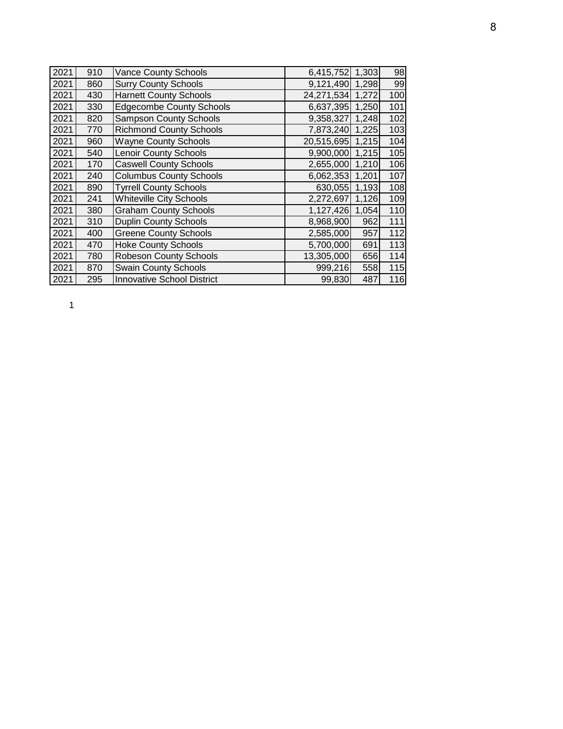| 2021 | 910 | <b>Vance County Schools</b>       | 6,415,752        | 1,303 | 98  |
|------|-----|-----------------------------------|------------------|-------|-----|
| 2021 | 860 | <b>Surry County Schools</b>       | 9,121,490        | 1,298 | 99  |
| 2021 | 430 | <b>Harnett County Schools</b>     | 24,271,534       | 1,272 | 100 |
| 2021 | 330 | <b>Edgecombe County Schools</b>   | 6,637,395 1,250  |       | 101 |
| 2021 | 820 | <b>Sampson County Schools</b>     | 9,358,327 1,248  |       | 102 |
| 2021 | 770 | <b>Richmond County Schools</b>    | 7,873,240 1,225  |       | 103 |
| 2021 | 960 | <b>Wayne County Schools</b>       | 20,515,695 1,215 |       | 104 |
| 2021 | 540 | <b>Lenoir County Schools</b>      | 9,900,000 1,215  |       | 105 |
| 2021 | 170 | <b>Caswell County Schools</b>     | 2,655,000 1,210  |       | 106 |
| 2021 | 240 | <b>Columbus County Schools</b>    | 6,062,353 1,201  |       | 107 |
| 2021 | 890 | <b>Tyrrell County Schools</b>     | 630,055 1,193    |       | 108 |
| 2021 | 241 | <b>Whiteville City Schools</b>    | 2,272,697        | 1,126 | 109 |
| 2021 | 380 | <b>Graham County Schools</b>      | 1,127,426        | 1,054 | 110 |
| 2021 | 310 | <b>Duplin County Schools</b>      | 8,968,900        | 962   | 111 |
| 2021 | 400 | <b>Greene County Schools</b>      | 2,585,000        | 957   | 112 |
| 2021 | 470 | <b>Hoke County Schools</b>        | 5,700,000        | 691   | 113 |
| 2021 | 780 | <b>Robeson County Schools</b>     | 13,305,000       | 656   | 114 |
| 2021 | 870 | <b>Swain County Schools</b>       | 999,216          | 558   | 115 |
| 2021 | 295 | <b>Innovative School District</b> | 99,830           | 487   | 116 |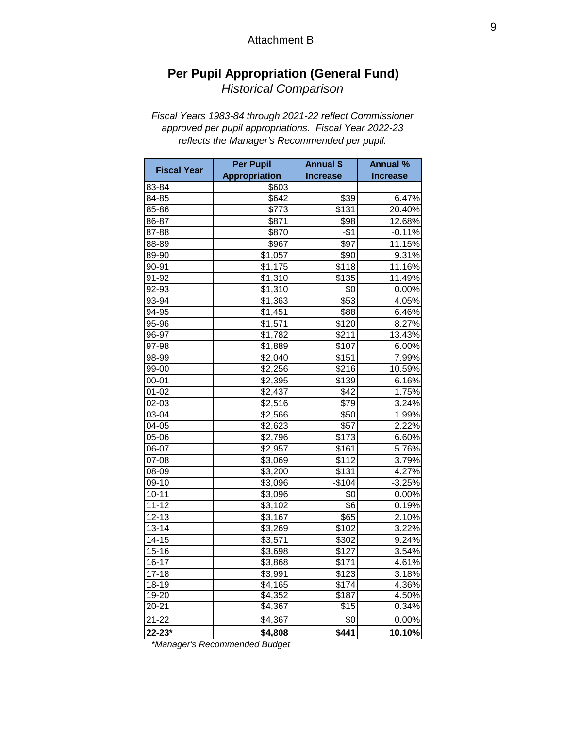#### Attachment B

# **Per Pupil Appropriation (General Fund)** *Historical Comparison*

### *Fiscal Years 1983-84 through 2021-22 reflect Commissioner approved per pupil appropriations. Fiscal Year 2022-23 reflects the Manager's Recommended per pupil.*

| <b>Fiscal Year</b> | <b>Per Pupil</b>     | <b>Annual \$</b>  | <b>Annual %</b> |  |  |
|--------------------|----------------------|-------------------|-----------------|--|--|
|                    | <b>Appropriation</b> | <b>Increase</b>   | <b>Increase</b> |  |  |
| 83-84              | \$603                |                   |                 |  |  |
| 84-85              | \$642                | \$39              | 6.47%           |  |  |
| 85-86              | \$773                | $\overline{$}131$ | 20.40%          |  |  |
| 86-87              | \$871                | \$98              | 12.68%          |  |  |
| 87-88              | \$870                | $-$1$             | $-0.11%$        |  |  |
| 88-89              | \$967                | \$97              | 11.15%          |  |  |
| 89-90              | \$1,057              | \$90              | 9.31%           |  |  |
| 90-91              | \$1,175              | \$118             | 11.16%          |  |  |
| 91-92              | \$1,310              | \$135             | 11.49%          |  |  |
| 92-93              | \$1,310              | \$0               | 0.00%           |  |  |
| 93-94              | \$1,363              | \$53              | 4.05%           |  |  |
| 94-95              | \$1,451              | \$88              | 6.46%           |  |  |
| 95-96              | \$1,571              | \$120             | 8.27%           |  |  |
| 96-97              | \$1,782              | \$211             | 13.43%          |  |  |
| 97-98              | \$1,889              | \$107             | 6.00%           |  |  |
| 98-99              | \$2,040              | \$151             | 7.99%           |  |  |
| 99-00              | \$2,256              | \$216             | 10.59%          |  |  |
| $00 - 01$          | \$2,395              | $\overline{$}139$ | 6.16%           |  |  |
| 01-02              | \$2,437              | \$42              | 1.75%           |  |  |
| 02-03              | \$2,516              | \$79              | 3.24%           |  |  |
| 03-04              | \$2,566              | \$50              | 1.99%           |  |  |
| 04-05              | \$2,623              | \$57              | 2.22%           |  |  |
| 05-06              | \$2,796              | \$173             | 6.60%           |  |  |
| 06-07              | \$2,957              | \$161             | 5.76%           |  |  |
| 07-08              | \$3,069              | \$112             | 3.79%           |  |  |
| 08-09              | \$3,200              | \$131             | 4.27%           |  |  |
| 09-10              | \$3,096              | $-$104$           | $-3.25%$        |  |  |
| $10 - 11$          | \$3,096              | \$0               | 0.00%           |  |  |
| $11 - 12$          | \$3,102              | \$6               | 0.19%           |  |  |
| $12 - 13$          | \$3,167              | \$65              | 2.10%           |  |  |
| $13 - 14$          | \$3,269              | \$102             | 3.22%           |  |  |
| $14 - 15$          | \$3,571              | \$302             | 9.24%           |  |  |
| $15 - 16$          | \$3,698              | \$127             | 3.54%           |  |  |
| 16-17              | $\overline{$3,868}$  | $\overline{$}171$ | 4.61%           |  |  |
| $17 - 18$          | \$3,991              | \$123             | 3.18%           |  |  |
| $18 - 19$          | \$4,165              | \$174             | 4.36%           |  |  |
| 19-20              | \$4,352              | \$187             | 4.50%           |  |  |
| $20 - 21$          | \$4,367              | \$15              | 0.34%           |  |  |
| $21 - 22$          | \$4,367              | \$0               | 0.00%           |  |  |
| 22-23*             | \$4,808              | \$441             | 10.10%          |  |  |

 *\*Manager's Recommended Budget*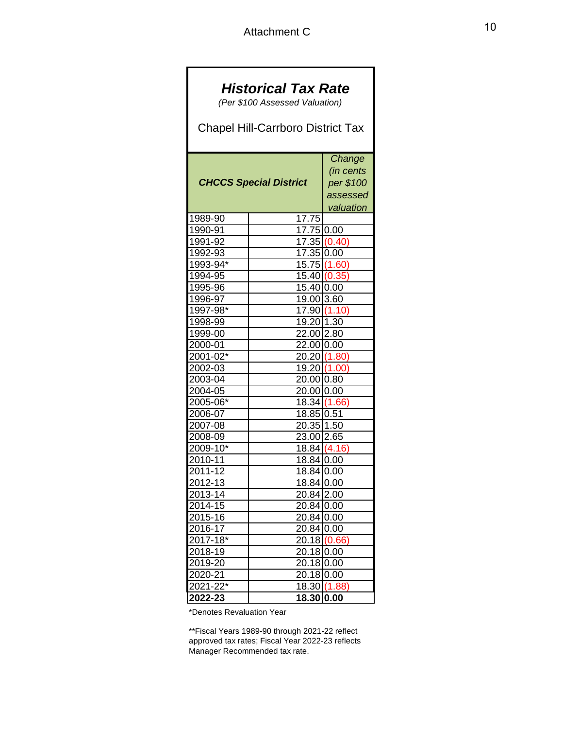┓

 $\overline{\phantom{a}}$ 

| <b>Historical Tax Rate</b><br>(Per \$100 Assessed Valuation)<br><b>Chapel Hill-Carrboro District Tax</b> |                                                           |              |  |  |  |  |  |  |  |  |
|----------------------------------------------------------------------------------------------------------|-----------------------------------------------------------|--------------|--|--|--|--|--|--|--|--|
|                                                                                                          |                                                           |              |  |  |  |  |  |  |  |  |
| <b>CHCCS Special District</b>                                                                            | Change<br>(in cents<br>per \$100<br>assessed<br>valuation |              |  |  |  |  |  |  |  |  |
| 1989-90                                                                                                  | 17.75                                                     |              |  |  |  |  |  |  |  |  |
| 1990-91                                                                                                  | 17.75 0.00                                                |              |  |  |  |  |  |  |  |  |
| 1991-92                                                                                                  |                                                           | 17.35 (0.40) |  |  |  |  |  |  |  |  |
| 1992-93                                                                                                  | 17.35 0.00                                                |              |  |  |  |  |  |  |  |  |
| 1993-94*                                                                                                 |                                                           | 15.75(1.60)  |  |  |  |  |  |  |  |  |
| 1994-95                                                                                                  |                                                           | 15.40(0.35)  |  |  |  |  |  |  |  |  |
| 1995-96                                                                                                  | 15.40 0.00                                                |              |  |  |  |  |  |  |  |  |
| 1996-97                                                                                                  | 19.00 3.60                                                |              |  |  |  |  |  |  |  |  |
| 1997-98*                                                                                                 | 17.90                                                     | (1.10)       |  |  |  |  |  |  |  |  |
| 1998-99                                                                                                  | 19.20 1.30                                                |              |  |  |  |  |  |  |  |  |
| 1999-00                                                                                                  | 22.00 2.80                                                |              |  |  |  |  |  |  |  |  |
| 2000-01                                                                                                  | 22.00 0.00                                                |              |  |  |  |  |  |  |  |  |
| 2001-02*                                                                                                 |                                                           | 20.20 (1.80) |  |  |  |  |  |  |  |  |
| 2002-03                                                                                                  |                                                           | 19.20 (1.00) |  |  |  |  |  |  |  |  |
| 2003-04                                                                                                  | 20.00 0.80                                                |              |  |  |  |  |  |  |  |  |
| 2004-05                                                                                                  | 20.00 0.00                                                |              |  |  |  |  |  |  |  |  |
| 2005-06*                                                                                                 |                                                           | 18.34(1.66)  |  |  |  |  |  |  |  |  |
| 2006-07                                                                                                  | 18.85 0.51                                                |              |  |  |  |  |  |  |  |  |
| 2007-08                                                                                                  | 20.35 1.50                                                |              |  |  |  |  |  |  |  |  |
| 2008-09                                                                                                  | $23.00$ $2.65$                                            |              |  |  |  |  |  |  |  |  |
| $2009 - 10^{*}$                                                                                          |                                                           | 18.84(4.16)  |  |  |  |  |  |  |  |  |
| 2010-11                                                                                                  | 18.84 0.00                                                |              |  |  |  |  |  |  |  |  |
| <u>2011-12</u>                                                                                           | 18.84 0.00                                                |              |  |  |  |  |  |  |  |  |
| 2012-13                                                                                                  | 18.84 0.00                                                |              |  |  |  |  |  |  |  |  |
| 2013-14                                                                                                  | $\overline{20.84}$  2.00                                  |              |  |  |  |  |  |  |  |  |
| 2014-15                                                                                                  | 20.84 0.00                                                |              |  |  |  |  |  |  |  |  |
| 2015-16                                                                                                  | 20.84 0.00                                                |              |  |  |  |  |  |  |  |  |
| 2016-17                                                                                                  | 20.84 0.00                                                |              |  |  |  |  |  |  |  |  |
| 2017-18*                                                                                                 |                                                           | 20.18 (0.66) |  |  |  |  |  |  |  |  |
| 2018-19                                                                                                  | 20.18 0.00                                                |              |  |  |  |  |  |  |  |  |
| 2019-20                                                                                                  | 20.18 0.00                                                |              |  |  |  |  |  |  |  |  |
| 2020-21                                                                                                  | 20.18 0.00                                                |              |  |  |  |  |  |  |  |  |
| $2021 - 22*$                                                                                             |                                                           | 18.30 (1.88) |  |  |  |  |  |  |  |  |
| 2022-23                                                                                                  | 18.30 0.00                                                |              |  |  |  |  |  |  |  |  |

\*Denotes Revaluation Year

\*\*Fiscal Years 1989-90 through 2021-22 reflect approved tax rates; Fiscal Year 2022-23 reflects Manager Recommended tax rate.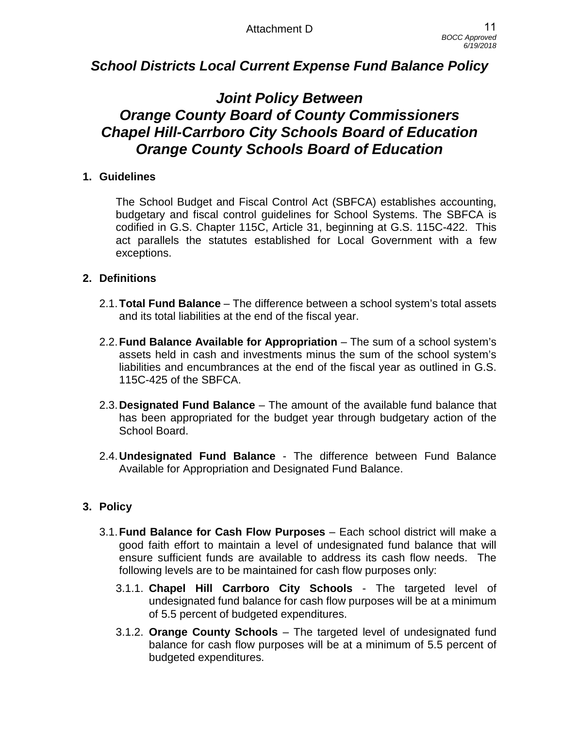# *School Districts Local Current Expense Fund Balance Policy*

# *Joint Policy Between Orange County Board of County Commissioners Chapel Hill-Carrboro City Schools Board of Education Orange County Schools Board of Education*

## **1. Guidelines**

The School Budget and Fiscal Control Act (SBFCA) establishes accounting, budgetary and fiscal control guidelines for School Systems. The SBFCA is codified in G.S. Chapter 115C, Article 31, beginning at G.S. 115C-422. This act parallels the statutes established for Local Government with a few exceptions.

## **2. Definitions**

- 2.1.**Total Fund Balance** The difference between a school system's total assets and its total liabilities at the end of the fiscal year.
- 2.2.**Fund Balance Available for Appropriation** The sum of a school system's assets held in cash and investments minus the sum of the school system's liabilities and encumbrances at the end of the fiscal year as outlined in G.S. 115C-425 of the SBFCA.
- 2.3.**Designated Fund Balance** The amount of the available fund balance that has been appropriated for the budget year through budgetary action of the School Board.
- 2.4.**Undesignated Fund Balance** The difference between Fund Balance Available for Appropriation and Designated Fund Balance.

# **3. Policy**

- 3.1.**Fund Balance for Cash Flow Purposes** Each school district will make a good faith effort to maintain a level of undesignated fund balance that will ensure sufficient funds are available to address its cash flow needs. The following levels are to be maintained for cash flow purposes only:
	- 3.1.1. **Chapel Hill Carrboro City Schools** The targeted level of undesignated fund balance for cash flow purposes will be at a minimum of 5.5 percent of budgeted expenditures.
	- 3.1.2. **Orange County Schools** The targeted level of undesignated fund balance for cash flow purposes will be at a minimum of 5.5 percent of budgeted expenditures.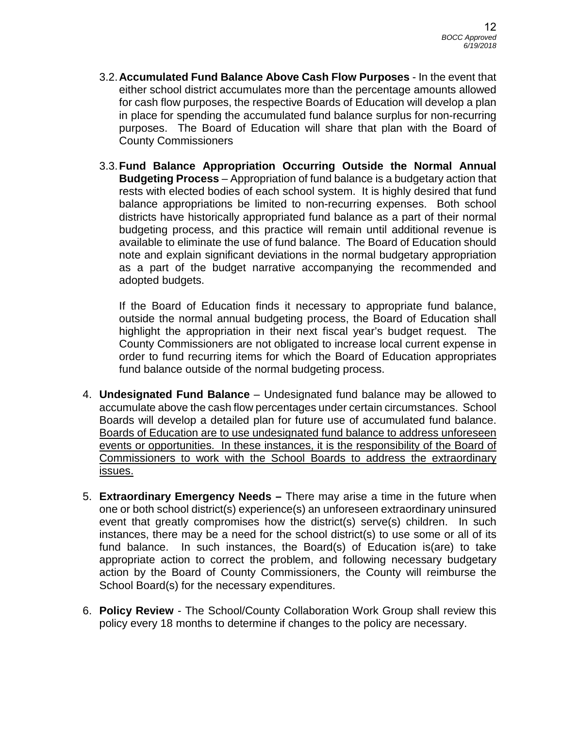- 3.2.**Accumulated Fund Balance Above Cash Flow Purposes** In the event that either school district accumulates more than the percentage amounts allowed for cash flow purposes, the respective Boards of Education will develop a plan in place for spending the accumulated fund balance surplus for non-recurring purposes. The Board of Education will share that plan with the Board of County Commissioners
- 3.3.**Fund Balance Appropriation Occurring Outside the Normal Annual Budgeting Process** – Appropriation of fund balance is a budgetary action that rests with elected bodies of each school system. It is highly desired that fund balance appropriations be limited to non-recurring expenses. Both school districts have historically appropriated fund balance as a part of their normal budgeting process, and this practice will remain until additional revenue is available to eliminate the use of fund balance. The Board of Education should note and explain significant deviations in the normal budgetary appropriation as a part of the budget narrative accompanying the recommended and adopted budgets.

If the Board of Education finds it necessary to appropriate fund balance, outside the normal annual budgeting process, the Board of Education shall highlight the appropriation in their next fiscal year's budget request. The County Commissioners are not obligated to increase local current expense in order to fund recurring items for which the Board of Education appropriates fund balance outside of the normal budgeting process.

- 4. **Undesignated Fund Balance** Undesignated fund balance may be allowed to accumulate above the cash flow percentages under certain circumstances. School Boards will develop a detailed plan for future use of accumulated fund balance. Boards of Education are to use undesignated fund balance to address unforeseen events or opportunities. In these instances, it is the responsibility of the Board of Commissioners to work with the School Boards to address the extraordinary issues.
- 5. **Extraordinary Emergency Needs** There may arise a time in the future when one or both school district(s) experience(s) an unforeseen extraordinary uninsured event that greatly compromises how the district(s) serve(s) children. In such instances, there may be a need for the school district(s) to use some or all of its fund balance. In such instances, the Board(s) of Education is(are) to take appropriate action to correct the problem, and following necessary budgetary action by the Board of County Commissioners, the County will reimburse the School Board(s) for the necessary expenditures.
- 6. **Policy Review** The School/County Collaboration Work Group shall review this policy every 18 months to determine if changes to the policy are necessary.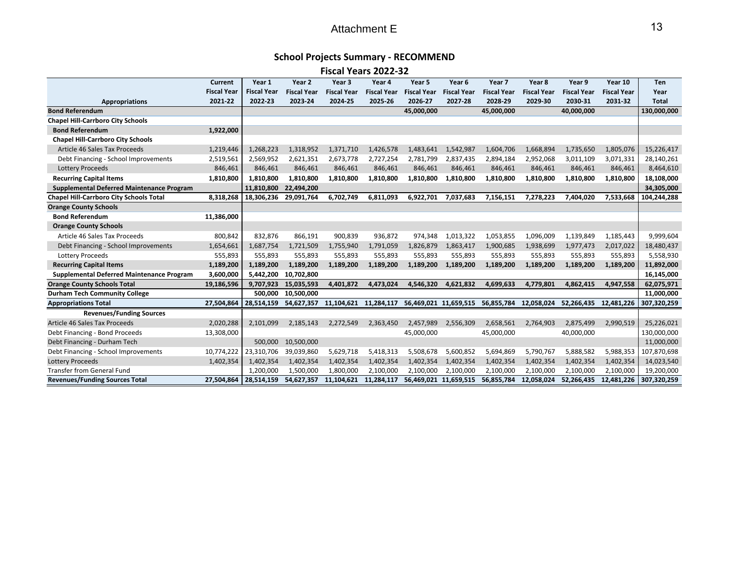# Attachment E

### **School Projects Summary ‐ RECOMMEND**

**Fiscal Years 2022‐32**

|                                                    | Current            | Year 1             | Year 2             | Year 3             | Year 4             | Year 5                                      | Year 6                | Year <sub>7</sub>  | Year 8             | Year 9                | Year 10            | <b>Ten</b>   |
|----------------------------------------------------|--------------------|--------------------|--------------------|--------------------|--------------------|---------------------------------------------|-----------------------|--------------------|--------------------|-----------------------|--------------------|--------------|
|                                                    | <b>Fiscal Year</b> | <b>Fiscal Year</b> | <b>Fiscal Year</b> | <b>Fiscal Year</b> | <b>Fiscal Year</b> | <b>Fiscal Year</b>                          | <b>Fiscal Year</b>    | <b>Fiscal Year</b> | <b>Fiscal Year</b> | <b>Fiscal Year</b>    | <b>Fiscal Year</b> | Year         |
| 2021-22<br><b>Appropriations</b>                   |                    | 2022-23            | 2023-24            | 2024-25            | 2025-26            | 2026-27                                     | 2027-28               | 2028-29            | 2029-30            | 2030-31               | 2031-32            | <b>Total</b> |
| <b>Bond Referendum</b>                             |                    |                    |                    |                    |                    | 45,000,000                                  |                       | 45,000,000         |                    | 40,000,000            |                    | 130,000,000  |
| <b>Chapel Hill-Carrboro City Schools</b>           |                    |                    |                    |                    |                    |                                             |                       |                    |                    |                       |                    |              |
| <b>Bond Referendum</b>                             | 1,922,000          |                    |                    |                    |                    |                                             |                       |                    |                    |                       |                    |              |
| <b>Chapel Hill-Carrboro City Schools</b>           |                    |                    |                    |                    |                    |                                             |                       |                    |                    |                       |                    |              |
| Article 46 Sales Tax Proceeds<br>1,219,446         |                    | 1,268,223          | 1,318,952          | 1,371,710          | 1,426,578          | 1,483,641                                   | 1,542,987             | 1,604,706          | 1,668,894          | 1,735,650             | 1,805,076          | 15,226,417   |
| Debt Financing - School Improvements               | 2,519,561          | 2,569,952          | 2,621,351          | 2,673,778          | 2,727,254          | 2,781,799                                   | 2,837,435             | 2,894,184          | 2,952,068          | 3,011,109             | 3,071,331          | 28,140,261   |
| <b>Lottery Proceeds</b><br>846,461                 |                    | 846,461            | 846,461            | 846,461            | 846,461            | 846,461                                     | 846,461               | 846,461            | 846,461            | 846,461               | 846,461            | 8,464,610    |
| <b>Recurring Capital Items</b><br>1,810,800        |                    | 1,810,800          | 1,810,800          | 1,810,800          | 1,810,800          | 1,810,800                                   | 1,810,800             | 1,810,800          | 1,810,800          | 1,810,800             | 1,810,800          | 18,108,000   |
| Supplemental Deferred Maintenance Program          |                    | 11,810,800         | 22,494,200         |                    |                    |                                             |                       |                    |                    |                       |                    | 34,305,000   |
| <b>Chapel Hill-Carrboro City Schools Total</b>     | 8,318,268          | 18,306,236         | 29,091,764         | 6,702,749          | 6,811,093          | 6,922,701                                   | 7,037,683             | 7,156,151          | 7,278,223          | 7,404,020             | 7,533,668          | 104,244,288  |
| <b>Orange County Schools</b>                       |                    |                    |                    |                    |                    |                                             |                       |                    |                    |                       |                    |              |
| <b>Bond Referendum</b><br>11,386,000               |                    |                    |                    |                    |                    |                                             |                       |                    |                    |                       |                    |              |
| <b>Orange County Schools</b>                       |                    |                    |                    |                    |                    |                                             |                       |                    |                    |                       |                    |              |
| Article 46 Sales Tax Proceeds                      | 800,842            | 832,876            | 866,191            | 900,839            | 936,872            | 974,348                                     | 1,013,322             | 1,053,855          | 1,096,009          | 1,139,849             | 1,185,443          | 9,999,604    |
| Debt Financing - School Improvements               | 1,654,661          | 1,687,754          | 1,721,509          | 1,755,940          | 1,791,059          | 1,826,879                                   | 1,863,417             | 1,900,685          | 1,938,699          | 1,977,473             | 2,017,022          | 18,480,437   |
| <b>Lottery Proceeds</b>                            | 555,893            | 555,893            | 555,893            | 555,893            | 555,893            | 555,893                                     | 555,893               | 555,893            | 555,893            | 555,893               | 555,893            | 5,558,930    |
| <b>Recurring Capital Items</b>                     | 1,189,200          | 1,189,200          | 1.189.200          | 1,189,200          | 1,189,200          | 1,189,200                                   | 1,189,200             | 1,189,200          | 1.189.200          | 1,189,200             | 1,189,200          | 11,892,000   |
| Supplemental Deferred Maintenance Program          | 3,600,000          | 5,442,200          | 10,702,800         |                    |                    |                                             |                       |                    |                    |                       |                    | 16,145,000   |
| <b>Orange County Schools Total</b>                 | 19,186,596         | 9,707,923          | 15,035,593         | 4,401,872          | 4,473,024          | 4,546,320                                   | 4,621,832             | 4,699,633          | 4,779,801          | 4,862,415             | 4,947,558          | 62,075,971   |
| <b>Durham Tech Community College</b>               |                    | 500,000            | 10,500,000         |                    |                    |                                             |                       |                    |                    |                       |                    | 11,000,000   |
| <b>Appropriations Total</b>                        | 27,504,864         | 28,514,159         | 54,627,357         | 11,104,621         |                    | 11,284,117 56,469,021 11,659,515 56,855,784 |                       |                    | 12,058,024         | 52.266.435 12.481.226 |                    | 307,320,259  |
| <b>Revenues/Funding Sources</b>                    |                    |                    |                    |                    |                    |                                             |                       |                    |                    |                       |                    |              |
| Article 46 Sales Tax Proceeds                      | 2,020,288          | 2.101.099          | 2,185,143          | 2,272,549          | 2,363,450          | 2,457,989                                   | 2,556,309             | 2,658,561          | 2,764,903          | 2,875,499             | 2,990,519          | 25,226,021   |
| Debt Financing - Bond Proceeds<br>13,308,000       |                    |                    |                    |                    |                    | 45,000,000                                  |                       | 45,000,000         |                    | 40,000,000            |                    | 130,000,000  |
| Debt Financing - Durham Tech                       |                    | 500,000            | 10,500,000         |                    |                    |                                             |                       |                    |                    |                       |                    | 11,000,000   |
| 10,774,222<br>Debt Financing - School Improvements |                    | 23,310,706         | 39,039,860         | 5,629,718          | 5,418,313          | 5,508,678                                   | 5,600,852             | 5,694,869          | 5,790,767          | 5,888,582             | 5,988,353          | 107,870,698  |
| <b>Lottery Proceeds</b><br>1,402,354               |                    | 1,402,354          | 1,402,354          | 1,402,354          | 1,402,354          | 1,402,354                                   | 1,402,354             | 1,402,354          | 1,402,354          | 1,402,354             | 1,402,354          | 14,023,540   |
| <b>Transfer from General Fund</b>                  |                    | 1,200,000          | 1,500,000          | 1,800,000          | 2,100,000          | 2,100,000                                   | 2,100,000             | 2,100,000          | 2,100,000          | 2,100,000             | 2,100,000          | 19,200,000   |
| <b>Revenues/Funding Sources Total</b>              | 27.504.864         | 28,514,159         | 54,627,357         | 11,104,621         | 11,284,117         |                                             | 56,469,021 11,659,515 | 56,855,784         | 12.058.024         | 52.266.435            | 12,481,226         | 307,320,259  |